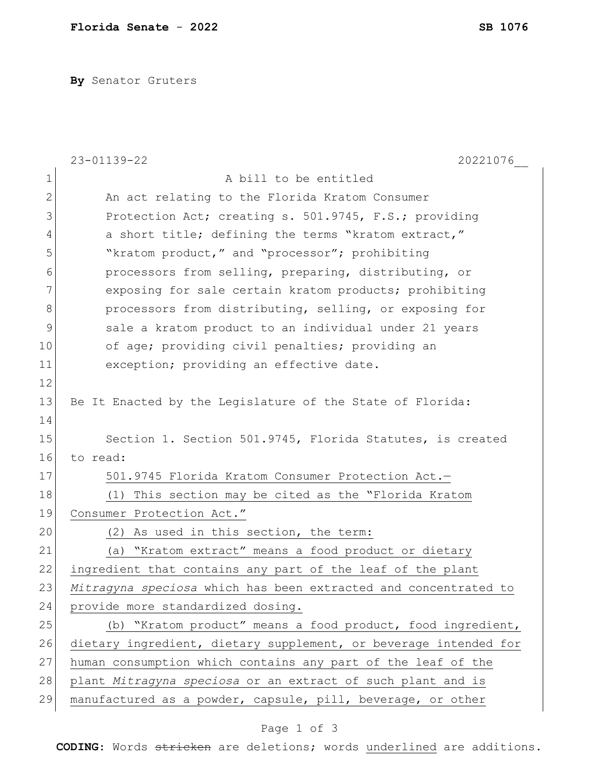**By** Senator Gruters

|    | 23-01139-22<br>20221076                                          |
|----|------------------------------------------------------------------|
| 1  | A bill to be entitled                                            |
| 2  | An act relating to the Florida Kratom Consumer                   |
| 3  | Protection Act; creating s. 501.9745, F.S.; providing            |
| 4  | a short title; defining the terms "kratom extract,"              |
| 5  | "kratom product," and "processor"; prohibiting                   |
| 6  | processors from selling, preparing, distributing, or             |
| 7  | exposing for sale certain kratom products; prohibiting           |
| 8  | processors from distributing, selling, or exposing for           |
| 9  | sale a kratom product to an individual under 21 years            |
| 10 | of age; providing civil penalties; providing an                  |
| 11 | exception; providing an effective date.                          |
| 12 |                                                                  |
| 13 | Be It Enacted by the Legislature of the State of Florida:        |
| 14 |                                                                  |
| 15 | Section 1. Section 501.9745, Florida Statutes, is created        |
| 16 | to read:                                                         |
| 17 | 501.9745 Florida Kratom Consumer Protection Act.-                |
| 18 | This section may be cited as the "Florida Kratom<br>(1)          |
| 19 | Consumer Protection Act."                                        |
| 20 | (2) As used in this section, the term:                           |
| 21 | "Kratom extract" means a food product or dietary<br>(a)          |
| 22 | ingredient that contains any part of the leaf of the plant       |
| 23 | Mitragyna speciosa which has been extracted and concentrated to  |
| 24 | provide more standardized dosing.                                |
| 25 | (b) "Kratom product" means a food product, food ingredient,      |
| 26 | dietary ingredient, dietary supplement, or beverage intended for |
| 27 | human consumption which contains any part of the leaf of the     |
| 28 | plant Mitragyna speciosa or an extract of such plant and is      |
| 29 | manufactured as a powder, capsule, pill, beverage, or other      |

## Page 1 of 3

**CODING**: Words stricken are deletions; words underlined are additions.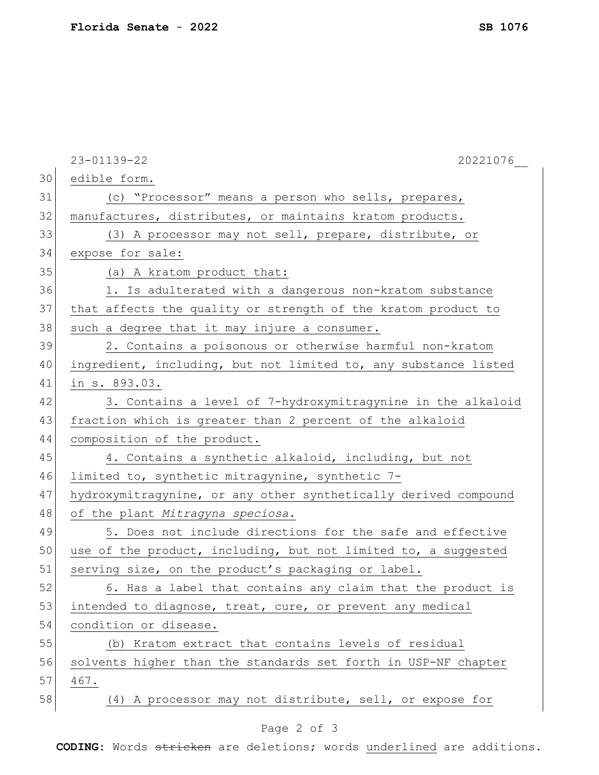|    | 23-01139-22<br>20221076                                         |
|----|-----------------------------------------------------------------|
| 30 | edible form.                                                    |
| 31 | (c) "Processor" means a person who sells, prepares,             |
| 32 | manufactures, distributes, or maintains kratom products.        |
| 33 | (3) A processor may not sell, prepare, distribute, or           |
| 34 | expose for sale:                                                |
| 35 | (a) A kratom product that:                                      |
| 36 | 1. Is adulterated with a dangerous non-kratom substance         |
| 37 | that affects the quality or strength of the kratom product to   |
| 38 | such a degree that it may injure a consumer.                    |
| 39 | 2. Contains a poisonous or otherwise harmful non-kratom         |
| 40 | ingredient, including, but not limited to, any substance listed |
| 41 | in s. 893.03.                                                   |
| 42 | 3. Contains a level of 7-hydroxymitragynine in the alkaloid     |
| 43 | fraction which is greater than 2 percent of the alkaloid        |
| 44 | composition of the product.                                     |
| 45 | 4. Contains a synthetic alkaloid, including, but not            |
| 46 | limited to, synthetic mitragynine, synthetic 7-                 |
| 47 | hydroxymitragynine, or any other synthetically derived compound |
| 48 | of the plant Mitragyna speciosa.                                |
| 49 | 5. Does not include directions for the safe and effective       |
| 50 | use of the product, including, but not limited to, a suggested  |
| 51 | serving size, on the product's packaging or label.              |
| 52 | 6. Has a label that contains any claim that the product is      |
| 53 | intended to diagnose, treat, cure, or prevent any medical       |
| 54 | condition or disease.                                           |
| 55 | (b) Kratom extract that contains levels of residual             |
| 56 | solvents higher than the standards set forth in USP-NF chapter  |
| 57 | 467.                                                            |
| 58 | (4) A processor may not distribute, sell, or expose for         |
|    | Page 2 of 3                                                     |

**CODING**: Words stricken are deletions; words underlined are additions.